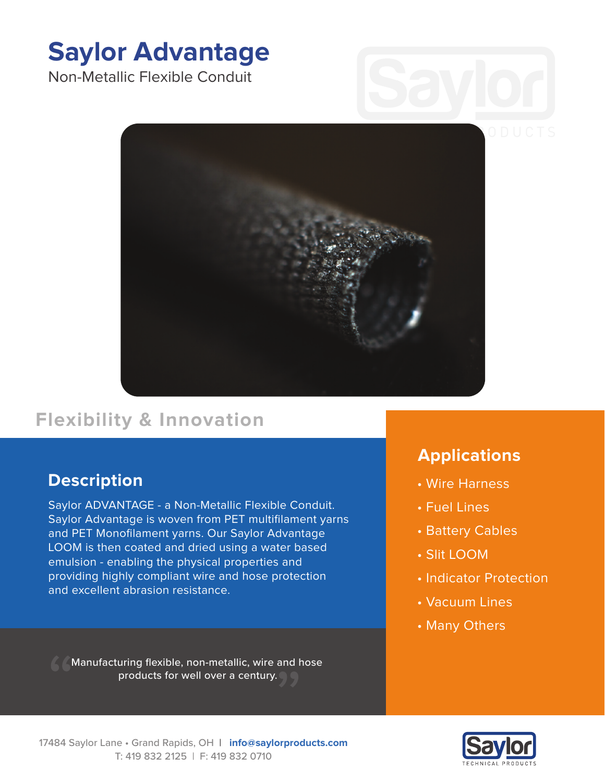# **Saylor Advantage**

Non-Metallic Flexible Conduit



# **Flexibility & Innovation**

## **Description**

Saylor ADVANTAGE - a Non-Metallic Flexible Conduit. Saylor Advantage is woven from PET multifilament yarns and PET Monofilament yarns. Our Saylor Advantage LOOM is then coated and dried using a water based emulsion - enabling the physical properties and providing highly compliant wire and hose protection and excellent abrasion resistance.

Manufacturing flexible, non-metallic, wire and hose products for well over a century.

## **Applications**

- Wire Harness
- Fuel Lines
- Battery Cables
- Slit LOOM
- Indicator Protection
- Vacuum Lines
- Many Others